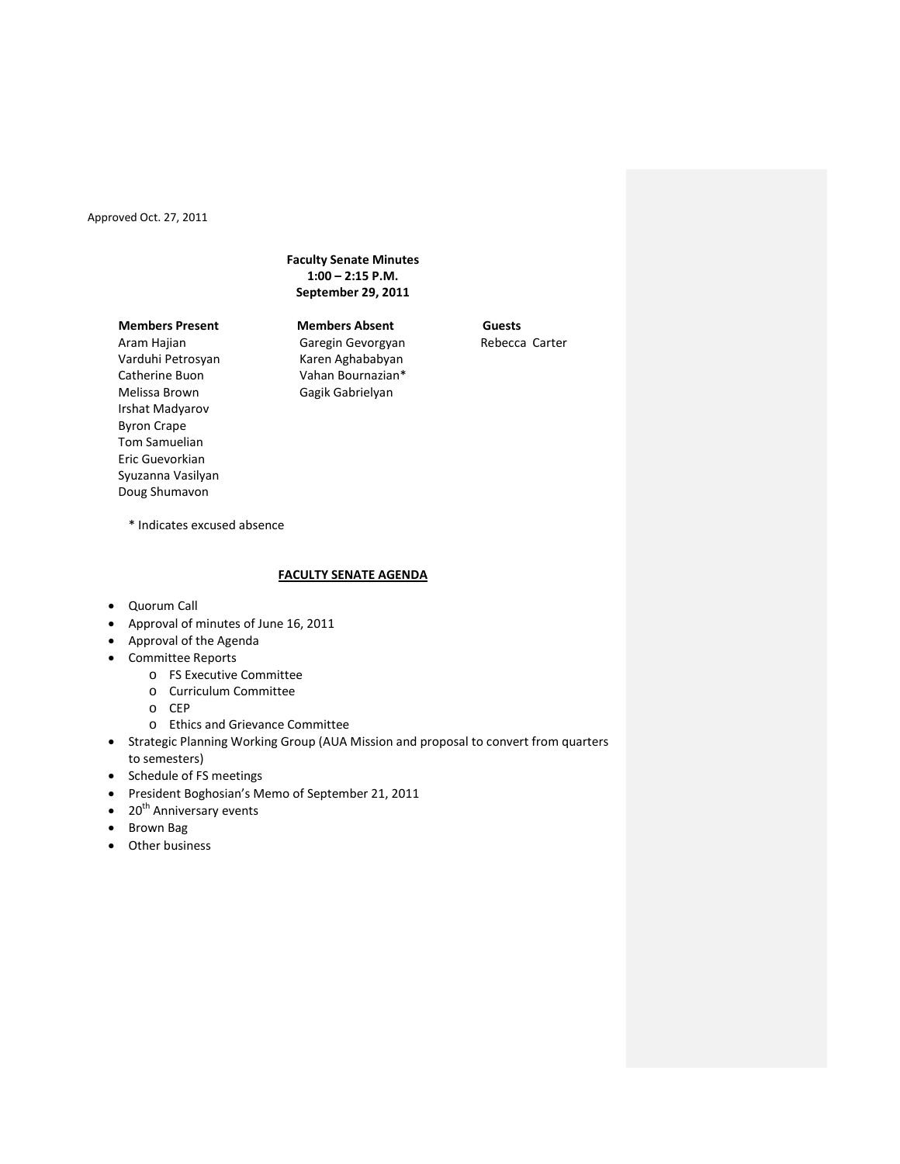# **Faculty Senate Minutes 1:00 – 2:15 P.M. September 29, 2011**

# **Members Present Members Absent Guests**

Aram Hajian Varduhi Petrosyan Catherine Buon Melissa Brown Irshat Madyarov Byron Crape Tom Samuelian Eric Guevorkian Syuzanna Vasilyan Doug Shumavon

Garegin Gevorgyan Karen Aghababyan Vahan Bournazian\* Gagik Gabrielyan

Rebecca Carter

\* Indicates excused absence

# **FACULTY SENATE AGENDA**

- Quorum Call
- Approval of minutes of June 16, 2011
- Approval of the Agenda
- Committee Reports
	- o FS Executive Committee
		- o Curriculum Committee
		- o CEP
		- o Ethics and Grievance Committee
- Strategic Planning Working Group (AUA Mission and proposal to convert from quarters to semesters)
- Schedule of FS meetings
- President Boghosian's Memo of September 21, 2011
- $\bullet$  20<sup>th</sup> Anniversary events
- Brown Bag
- Other business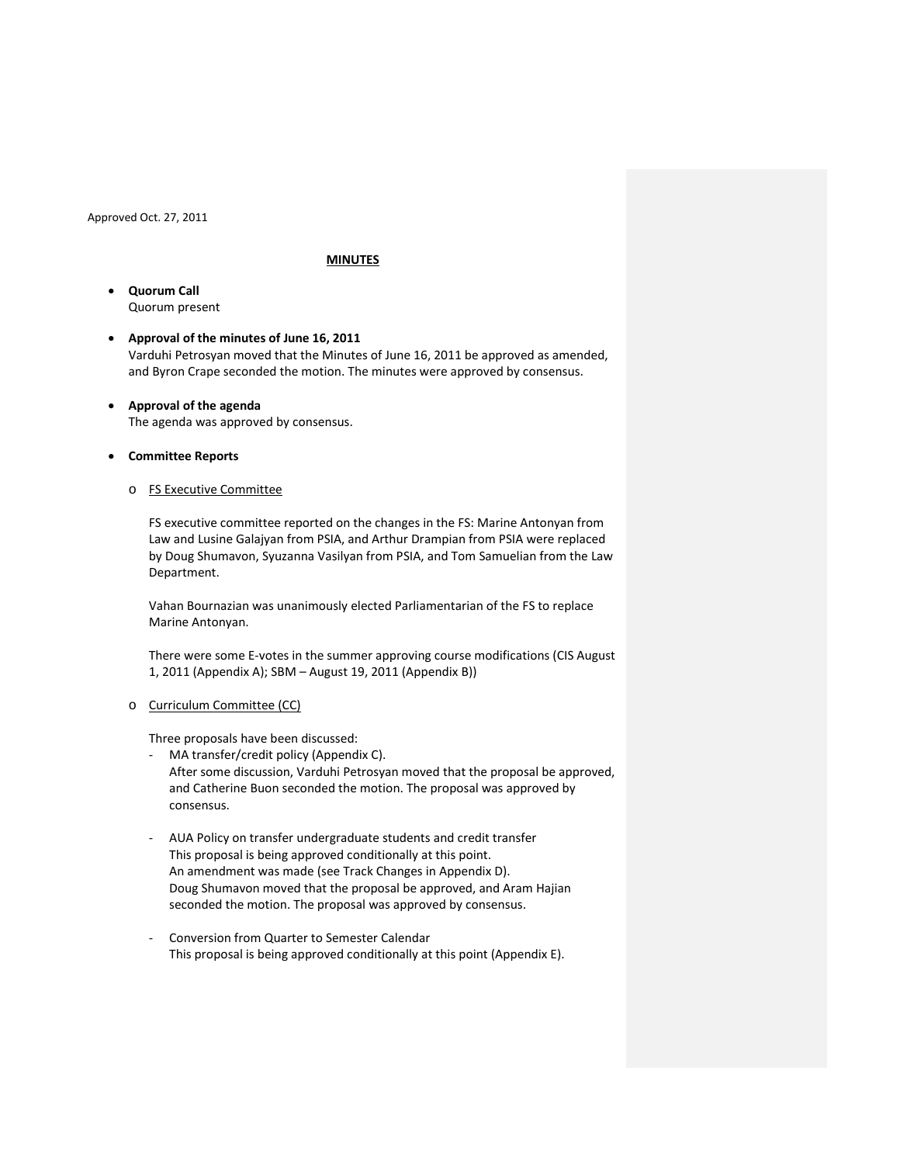### **MINUTES**

- **Quorum Call** Quorum present
- **Approval of the minutes of June 16, 2011** Varduhi Petrosyan moved that the Minutes of June 16, 2011 be approved as amended, and Byron Crape seconded the motion. The minutes were approved by consensus.
- **Approval of the agenda**  The agenda was approved by consensus.
- **Committee Reports**
	- o FS Executive Committee

FS executive committee reported on the changes in the FS: Marine Antonyan from Law and Lusine Galajyan from PSIA, and Arthur Drampian from PSIA were replaced by Doug Shumavon, Syuzanna Vasilyan from PSIA, and Tom Samuelian from the Law Department.

Vahan Bournazian was unanimously elected Parliamentarian of the FS to replace Marine Antonyan.

There were some E-votes in the summer approving course modifications (CIS August 1, 2011 (Appendix A); SBM – August 19, 2011 (Appendix B))

o Curriculum Committee (CC)

Three proposals have been discussed:

- MA transfer/credit policy (Appendix C). After some discussion, Varduhi Petrosyan moved that the proposal be approved, and Catherine Buon seconded the motion. The proposal was approved by consensus.
- AUA Policy on transfer undergraduate students and credit transfer This proposal is being approved conditionally at this point. An amendment was made (see Track Changes in Appendix D). Doug Shumavon moved that the proposal be approved, and Aram Hajian seconded the motion. The proposal was approved by consensus.
- Conversion from Quarter to Semester Calendar This proposal is being approved conditionally at this point (Appendix E).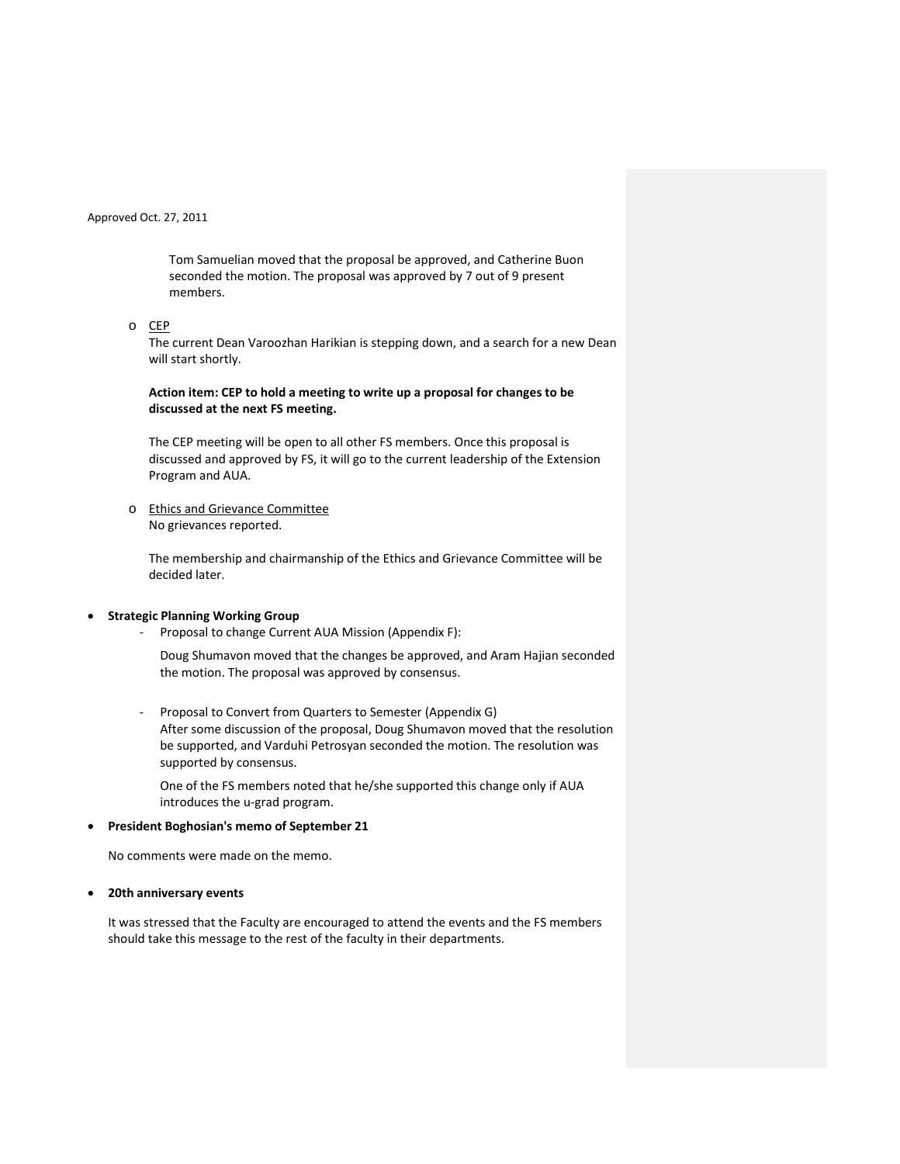Tom Samuelian moved that the proposal be approved, and Catherine Buon seconded the motion. The proposal was approved by 7 out of 9 present members.

o CEP

The current Dean Varoozhan Harikian is stepping down, and a search for a new Dean will start shortly.

# **Action item: CEP to hold a meeting to write up a proposal for changes to be discussed at the next FS meeting.**

The CEP meeting will be open to all other FS members. Once this proposal is discussed and approved by FS, it will go to the current leadership of the Extension Program and AUA.

o Ethics and Grievance Committee No grievances reported.

The membership and chairmanship of the Ethics and Grievance Committee will be decided later.

## • **Strategic Planning Working Group**

Proposal to change Current AUA Mission (Appendix F):

Doug Shumavon moved that the changes be approved, and Aram Hajian seconded the motion. The proposal was approved by consensus.

Proposal to Convert from Quarters to Semester (Appendix G) After some discussion of the proposal, Doug Shumavon moved that the resolution be supported, and Varduhi Petrosyan seconded the motion. The resolution was supported by consensus.

One of the FS members noted that he/she supported this change only if AUA introduces the u-grad program.

### • **President Boghosian's memo of September 21**

No comments were made on the memo.

### • **20th anniversary events**

It was stressed that the Faculty are encouraged to attend the events and the FS members should take this message to the rest of the faculty in their departments.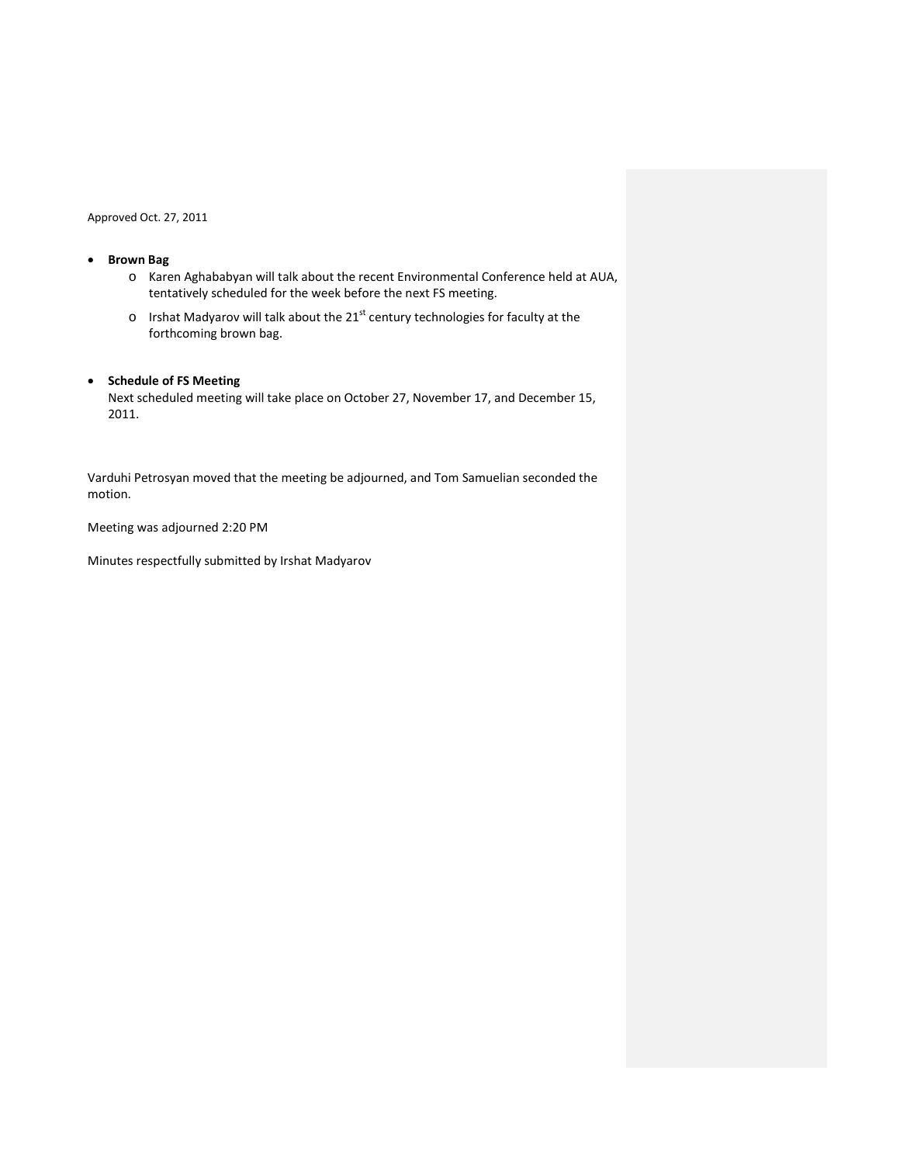# • **Brown Bag**

- o Karen Aghababyan will talk about the recent Environmental Conference held at AUA, tentatively scheduled for the week before the next FS meeting.
- $\circ$  Irshat Madyarov will talk about the 21<sup>st</sup> century technologies for faculty at the forthcoming brown bag.

# • **Schedule of FS Meeting**

Next scheduled meeting will take place on October 27, November 17, and December 15, 2011.

Varduhi Petrosyan moved that the meeting be adjourned, and Tom Samuelian seconded the motion.

Meeting was adjourned 2:20 PM

Minutes respectfully submitted by Irshat Madyarov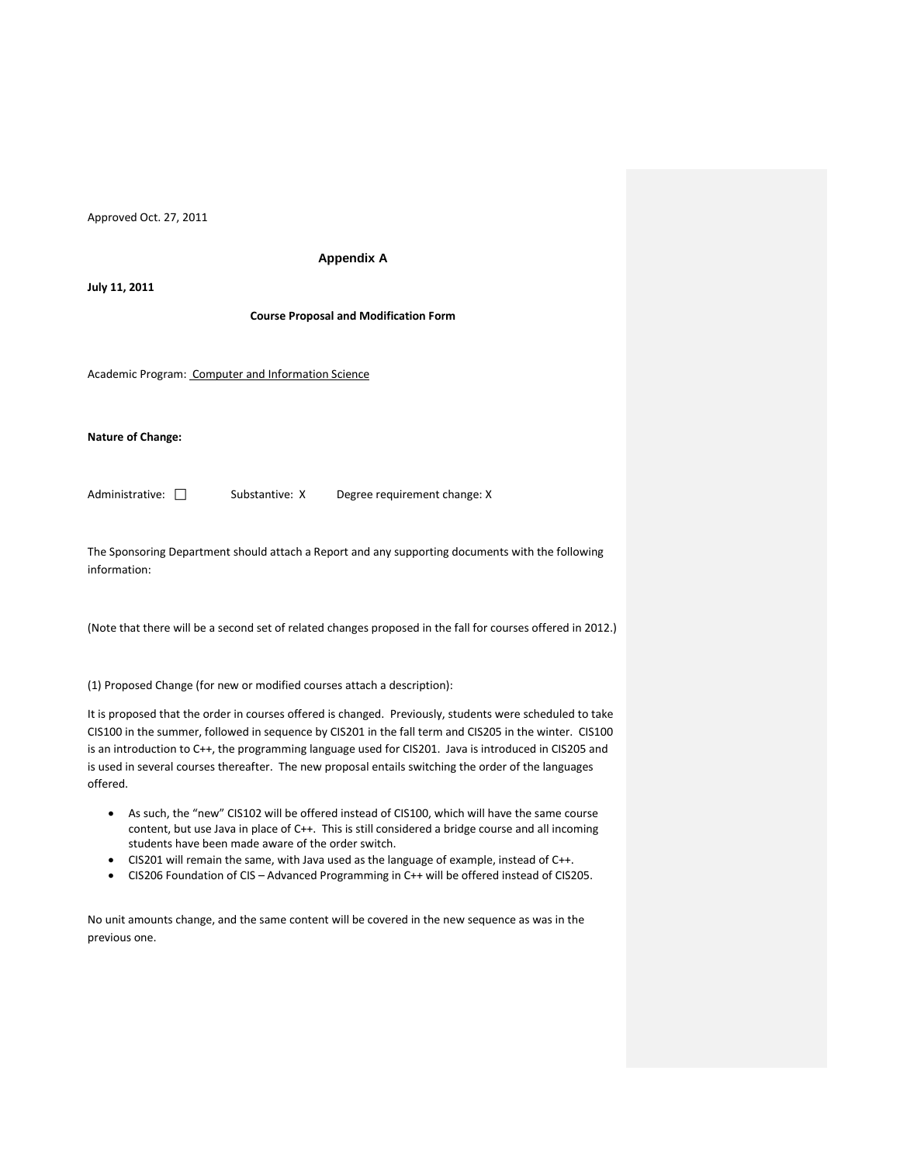#### **Appendix A**

**July 11, 2011**

**Course Proposal and Modification Form**

Academic Program: Computer and Information Science

#### **Nature of Change:**

Administrative:  $\square$  Substantive: X Degree requirement change: X

The Sponsoring Department should attach a Report and any supporting documents with the following information:

(Note that there will be a second set of related changes proposed in the fall for courses offered in 2012.)

(1) Proposed Change (for new or modified courses attach a description):

It is proposed that the order in courses offered is changed. Previously, students were scheduled to take CIS100 in the summer, followed in sequence by CIS201 in the fall term and CIS205 in the winter. CIS100 is an introduction to C++, the programming language used for CIS201. Java is introduced in CIS205 and is used in several courses thereafter. The new proposal entails switching the order of the languages offered.

- As such, the "new" CIS102 will be offered instead of CIS100, which will have the same course content, but use Java in place of C++. This is still considered a bridge course and all incoming students have been made aware of the order switch.
- CIS201 will remain the same, with Java used as the language of example, instead of C++.
- CIS206 Foundation of CIS Advanced Programming in C++ will be offered instead of CIS205.

No unit amounts change, and the same content will be covered in the new sequence as was in the previous one.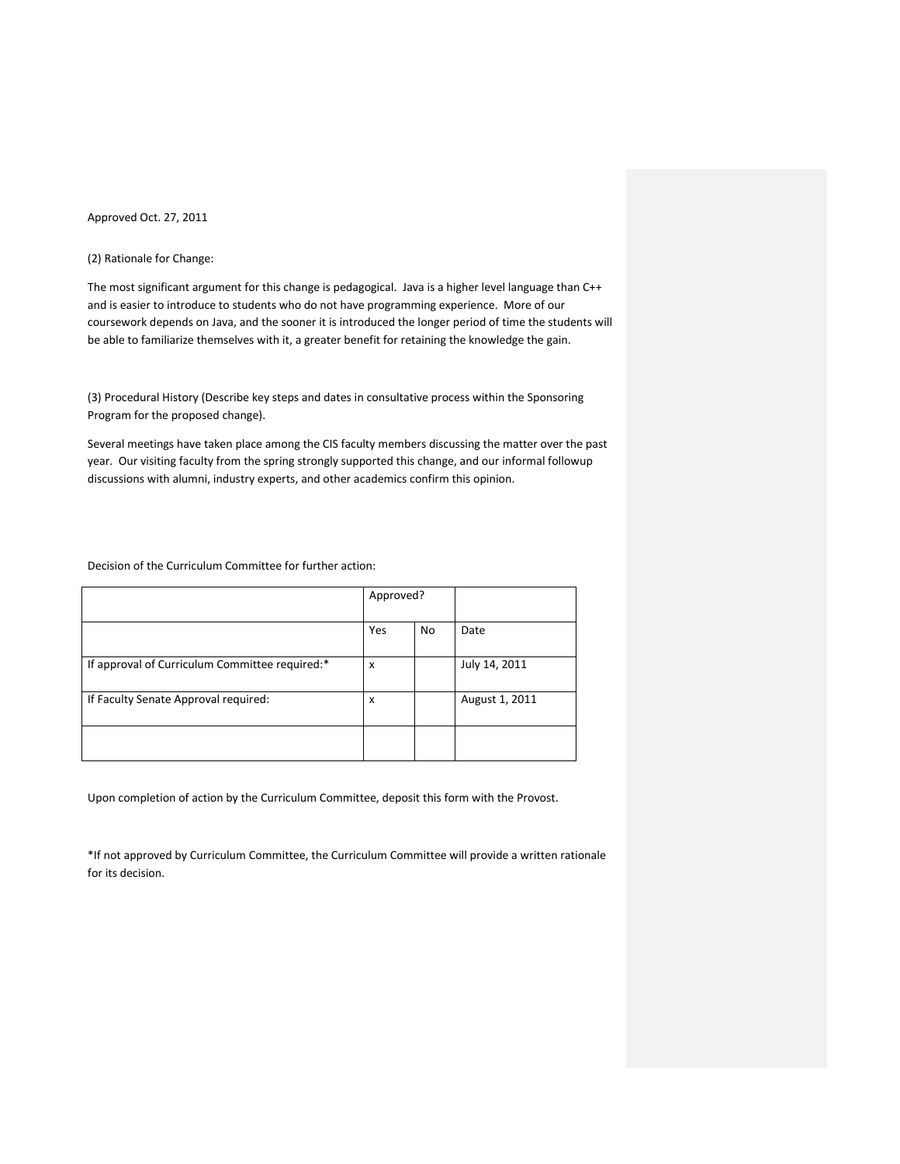### (2) Rationale for Change:

The most significant argument for this change is pedagogical. Java is a higher level language than C++ and is easier to introduce to students who do not have programming experience. More of our coursework depends on Java, and the sooner it is introduced the longer period of time the students will be able to familiarize themselves with it, a greater benefit for retaining the knowledge the gain.

(3) Procedural History (Describe key steps and dates in consultative process within the Sponsoring Program for the proposed change).

Several meetings have taken place among the CIS faculty members discussing the matter over the past year. Our visiting faculty from the spring strongly supported this change, and our informal followup discussions with alumni, industry experts, and other academics confirm this opinion.

Decision of the Curriculum Committee for further action:

|                                                | Approved? |           |                |
|------------------------------------------------|-----------|-----------|----------------|
|                                                | Yes       | <b>No</b> | Date           |
| If approval of Curriculum Committee required:* | X         |           | July 14, 2011  |
| If Faculty Senate Approval required:           | X         |           | August 1, 2011 |
|                                                |           |           |                |

Upon completion of action by the Curriculum Committee, deposit this form with the Provost.

\*If not approved by Curriculum Committee, the Curriculum Committee will provide a written rationale for its decision.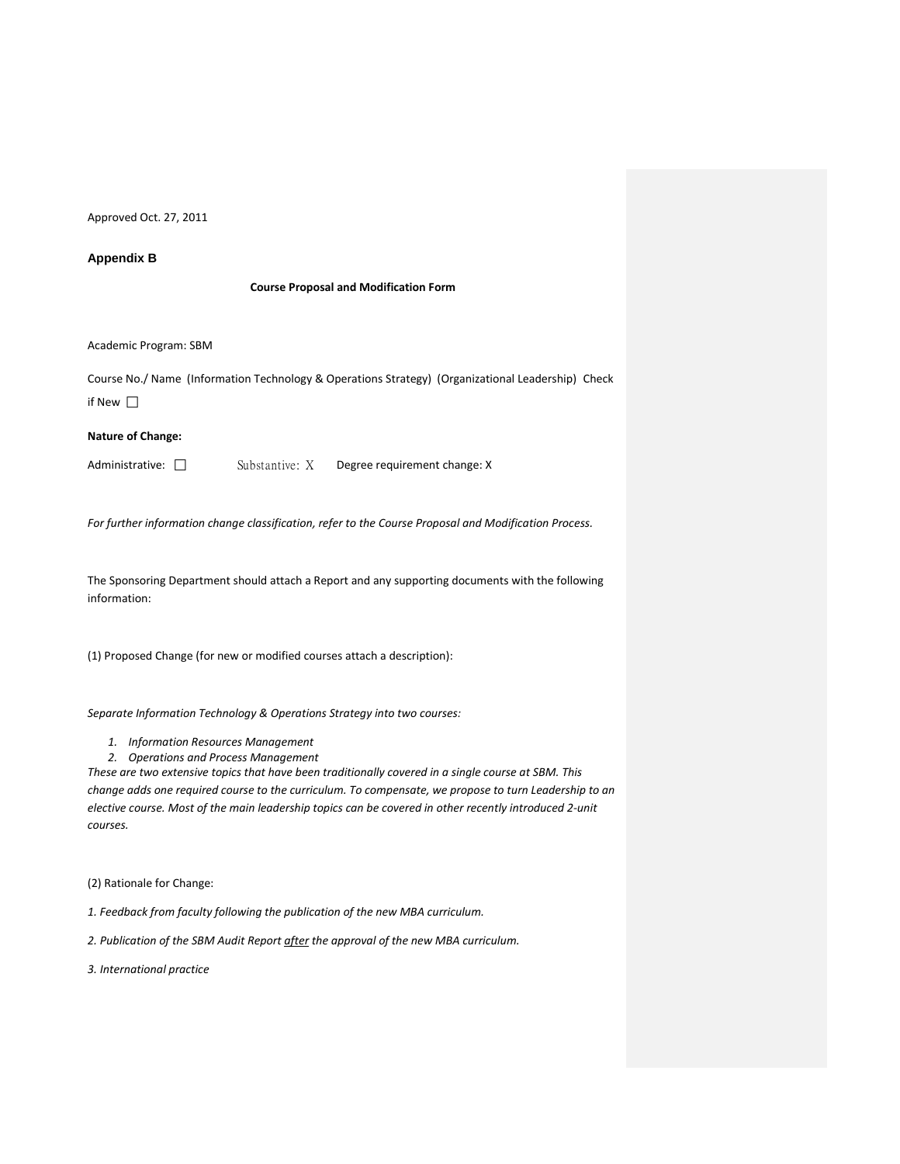### **Appendix B**

#### **Course Proposal and Modification Form**

Academic Program: SBM

Course No./ Name (Information Technology & Operations Strategy) (Organizational Leadership) Check if New

### **Nature of Change:**

Administrative:  $\square$  Substantive: X Degree requirement change: X

*For further information change classification, refer to the Course Proposal and Modification Process.*

The Sponsoring Department should attach a Report and any supporting documents with the following information:

(1) Proposed Change (for new or modified courses attach a description):

*Separate Information Technology & Operations Strategy into two courses:* 

- *1. Information Resources Management*
- *2. Operations and Process Management*

*These are two extensive topics that have been traditionally covered in a single course at SBM. This change adds one required course to the curriculum. To compensate, we propose to turn Leadership to an elective course. Most of the main leadership topics can be covered in other recently introduced 2-unit courses.* 

(2) Rationale for Change:

*1. Feedback from faculty following the publication of the new MBA curriculum.*

*2. Publication of the SBM Audit Report after the approval of the new MBA curriculum.* 

*3. International practice*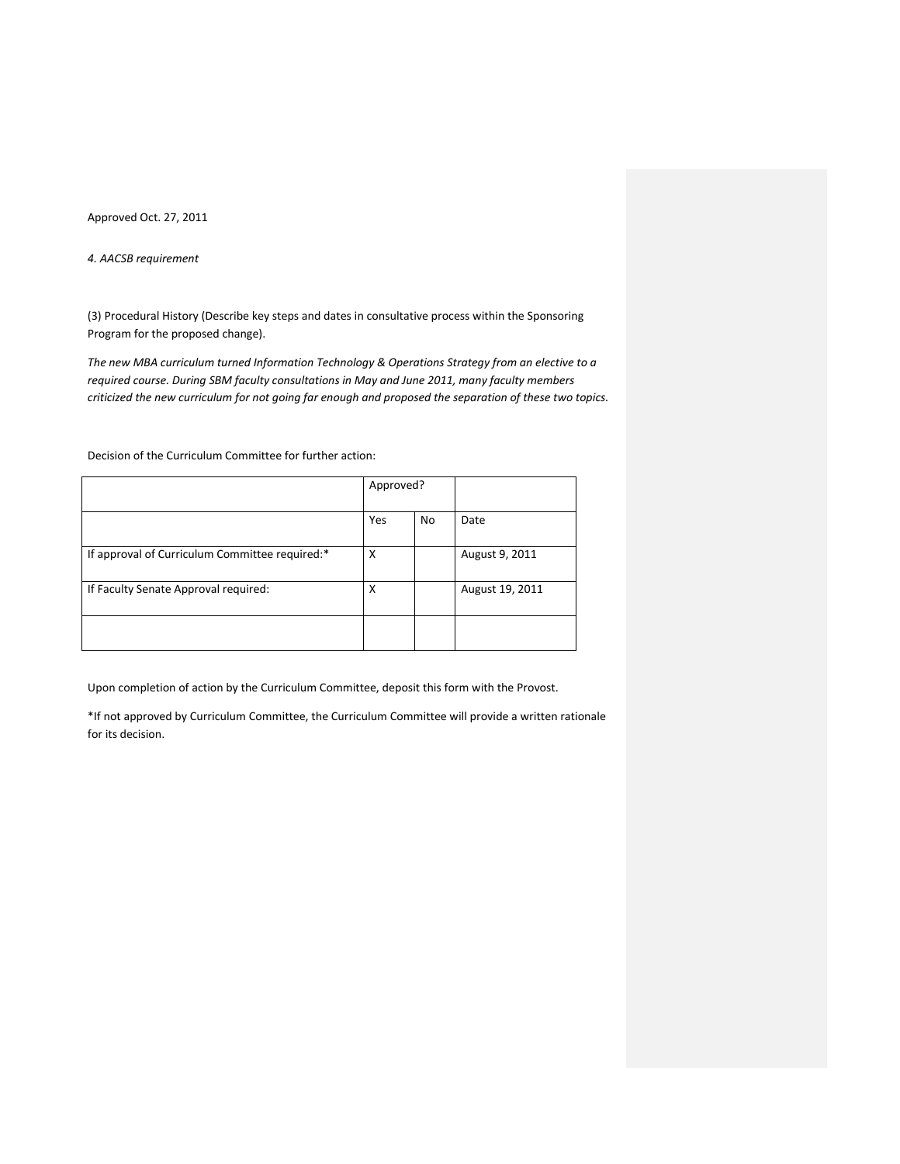*4. AACSB requirement*

(3) Procedural History (Describe key steps and dates in consultative process within the Sponsoring Program for the proposed change).

*The new MBA curriculum turned Information Technology & Operations Strategy from an elective to a required course. During SBM faculty consultations in May and June 2011, many faculty members criticized the new curriculum for not going far enough and proposed the separation of these two topics.* 

Decision of the Curriculum Committee for further action:

|                                                | Approved? |    |                 |
|------------------------------------------------|-----------|----|-----------------|
|                                                | Yes       | No | Date            |
| If approval of Curriculum Committee required:* | X         |    | August 9, 2011  |
| If Faculty Senate Approval required:           | X         |    | August 19, 2011 |
|                                                |           |    |                 |

Upon completion of action by the Curriculum Committee, deposit this form with the Provost.

\*If not approved by Curriculum Committee, the Curriculum Committee will provide a written rationale for its decision.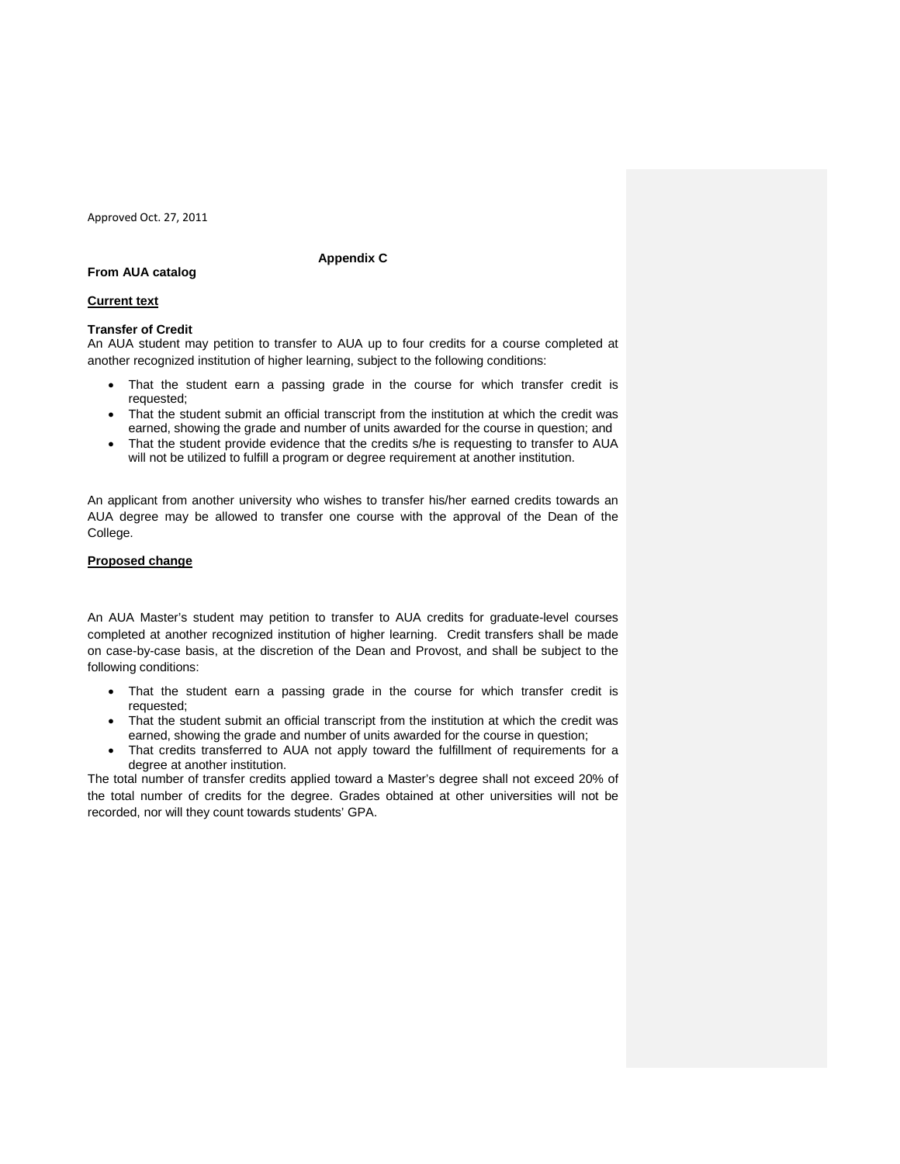### **Appendix C**

# **From AUA catalog**

#### **Current text**

### **Transfer of Credit**

An AUA student may petition to transfer to AUA up to four credits for a course completed at another recognized institution of higher learning, subject to the following conditions:

- That the student earn a passing grade in the course for which transfer credit is requested;
- That the student submit an official transcript from the institution at which the credit was earned, showing the grade and number of units awarded for the course in question; and
- That the student provide evidence that the credits s/he is requesting to transfer to AUA will not be utilized to fulfill a program or degree requirement at another institution.

An applicant from another university who wishes to transfer his/her earned credits towards an AUA degree may be allowed to transfer one course with the approval of the Dean of the College.

### **Proposed change**

An AUA Master's student may petition to transfer to AUA credits for graduate-level courses completed at another recognized institution of higher learning. Credit transfers shall be made on case-by-case basis, at the discretion of the Dean and Provost, and shall be subject to the following conditions:

- That the student earn a passing grade in the course for which transfer credit is requested;
- That the student submit an official transcript from the institution at which the credit was earned, showing the grade and number of units awarded for the course in question;
- That credits transferred to AUA not apply toward the fulfillment of requirements for a degree at another institution.

The total number of transfer credits applied toward a Master's degree shall not exceed 20% of the total number of credits for the degree. Grades obtained at other universities will not be recorded, nor will they count towards students' GPA.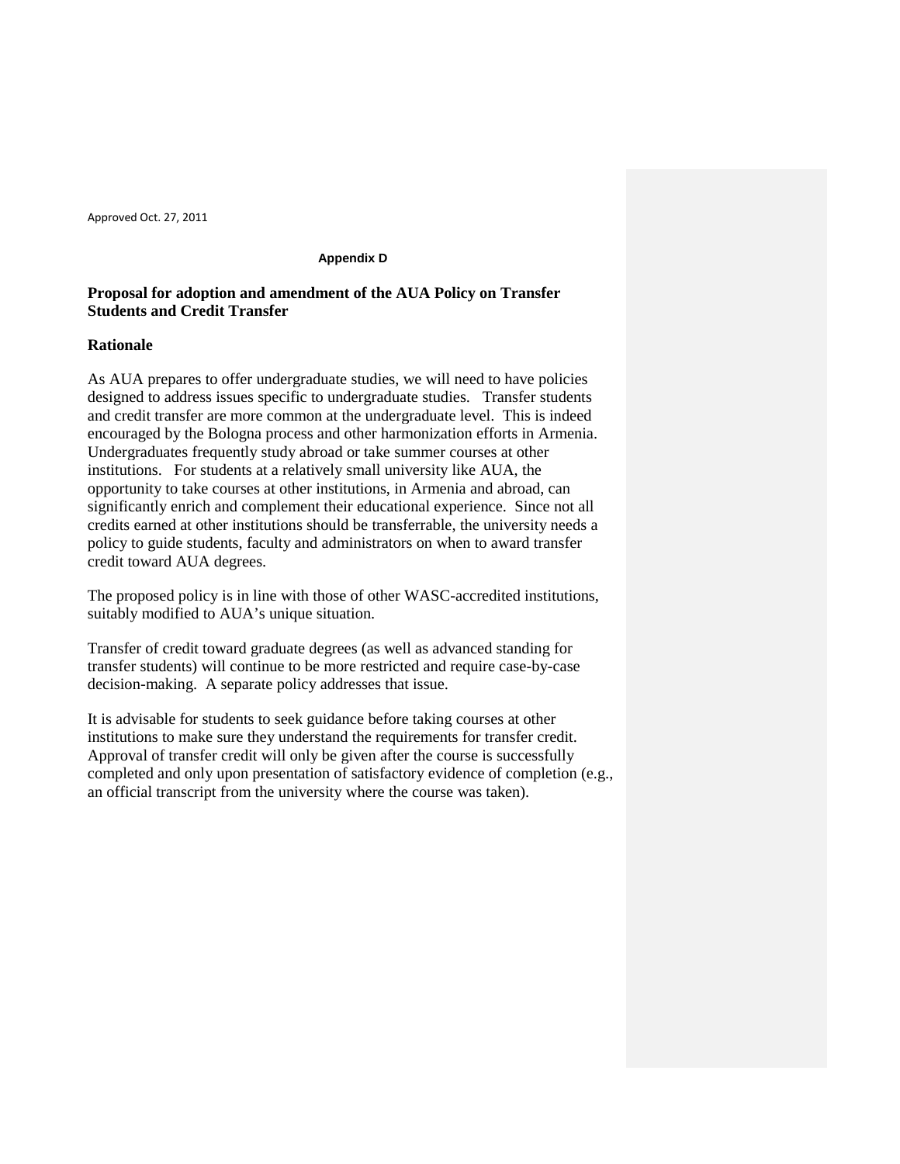### **Appendix D**

# **Proposal for adoption and amendment of the AUA Policy on Transfer Students and Credit Transfer**

# **Rationale**

As AUA prepares to offer undergraduate studies, we will need to have policies designed to address issues specific to undergraduate studies. Transfer students and credit transfer are more common at the undergraduate level. This is indeed encouraged by the Bologna process and other harmonization efforts in Armenia. Undergraduates frequently study abroad or take summer courses at other institutions. For students at a relatively small university like AUA, the opportunity to take courses at other institutions, in Armenia and abroad, can significantly enrich and complement their educational experience. Since not all credits earned at other institutions should be transferrable, the university needs a policy to guide students, faculty and administrators on when to award transfer credit toward AUA degrees.

The proposed policy is in line with those of other WASC-accredited institutions, suitably modified to AUA's unique situation.

Transfer of credit toward graduate degrees (as well as advanced standing for transfer students) will continue to be more restricted and require case-by-case decision-making. A separate policy addresses that issue.

It is advisable for students to seek guidance before taking courses at other institutions to make sure they understand the requirements for transfer credit. Approval of transfer credit will only be given after the course is successfully completed and only upon presentation of satisfactory evidence of completion (e.g., an official transcript from the university where the course was taken).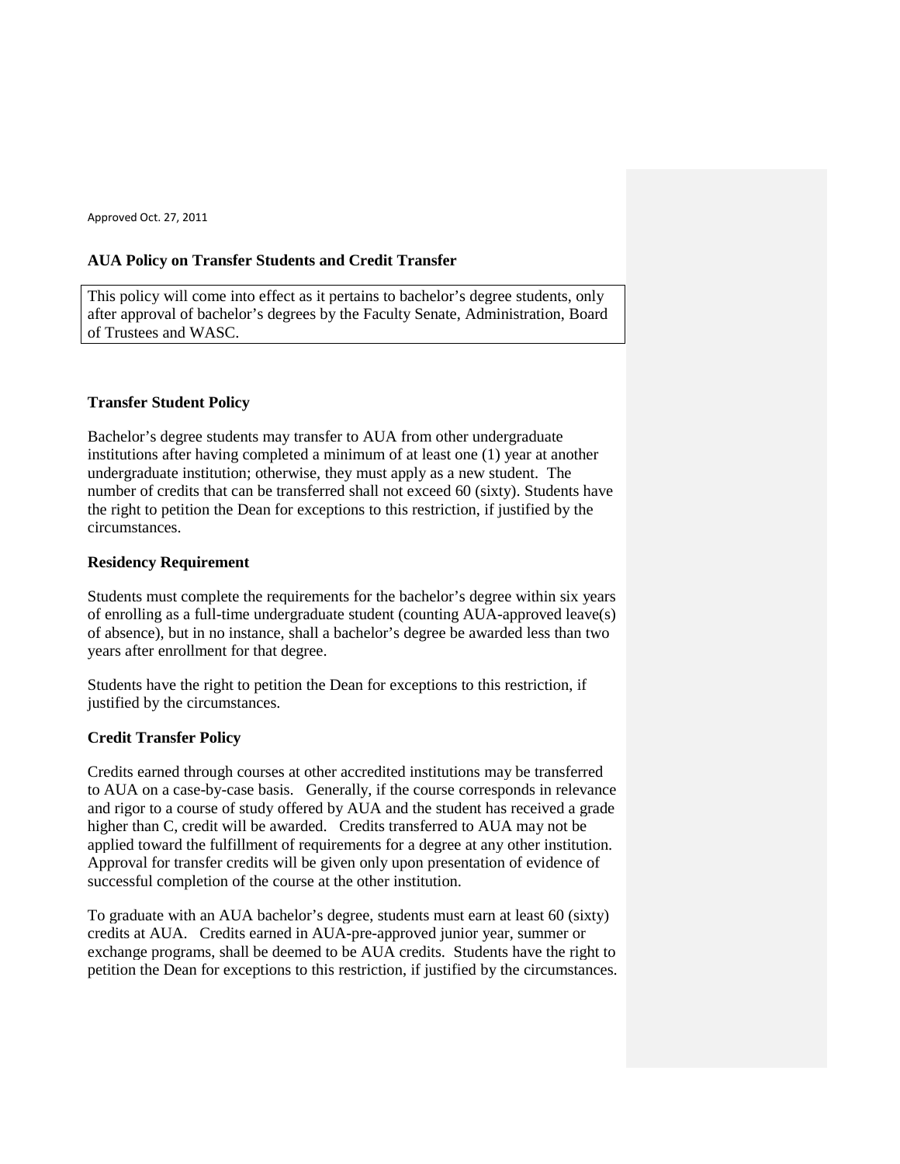# **AUA Policy on Transfer Students and Credit Transfer**

This policy will come into effect as it pertains to bachelor's degree students, only after approval of bachelor's degrees by the Faculty Senate, Administration, Board of Trustees and WASC.

# **Transfer Student Policy**

Bachelor's degree students may transfer to AUA from other undergraduate institutions after having completed a minimum of at least one (1) year at another undergraduate institution; otherwise, they must apply as a new student. The number of credits that can be transferred shall not exceed 60 (sixty). Students have the right to petition the Dean for exceptions to this restriction, if justified by the circumstances.

# **Residency Requirement**

Students must complete the requirements for the bachelor's degree within six years of enrolling as a full-time undergraduate student (counting AUA-approved leave(s) of absence), but in no instance, shall a bachelor's degree be awarded less than two years after enrollment for that degree.

Students have the right to petition the Dean for exceptions to this restriction, if justified by the circumstances.

# **Credit Transfer Policy**

Credits earned through courses at other accredited institutions may be transferred to AUA on a case-by-case basis. Generally, if the course corresponds in relevance and rigor to a course of study offered by AUA and the student has received a grade higher than C, credit will be awarded. Credits transferred to AUA may not be applied toward the fulfillment of requirements for a degree at any other institution. Approval for transfer credits will be given only upon presentation of evidence of successful completion of the course at the other institution.

To graduate with an AUA bachelor's degree, students must earn at least 60 (sixty) credits at AUA. Credits earned in AUA-pre-approved junior year, summer or exchange programs, shall be deemed to be AUA credits. Students have the right to petition the Dean for exceptions to this restriction, if justified by the circumstances.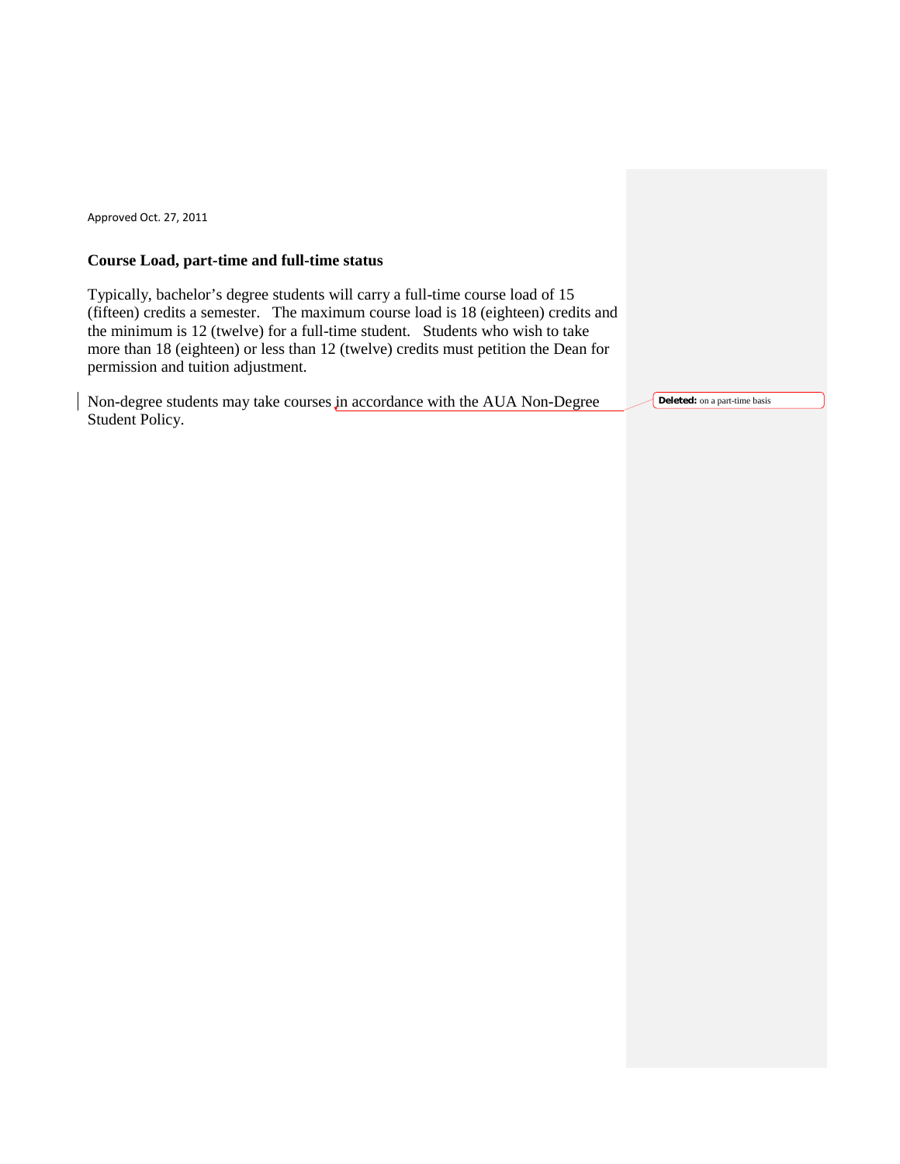# **Course Load, part-time and full-time status**

Typically, bachelor's degree students will carry a full-time course load of 15 (fifteen) credits a semester. The maximum course load is 18 (eighteen) credits and the minimum is 12 (twelve) for a full-time student. Students who wish to take more than 18 (eighteen) or less than 12 (twelve) credits must petition the Dean for permission and tuition adjustment.

Non-degree students may take courses in accordance with the AUA Non-Degree Student Policy.

**Deleted:** on a part-time basis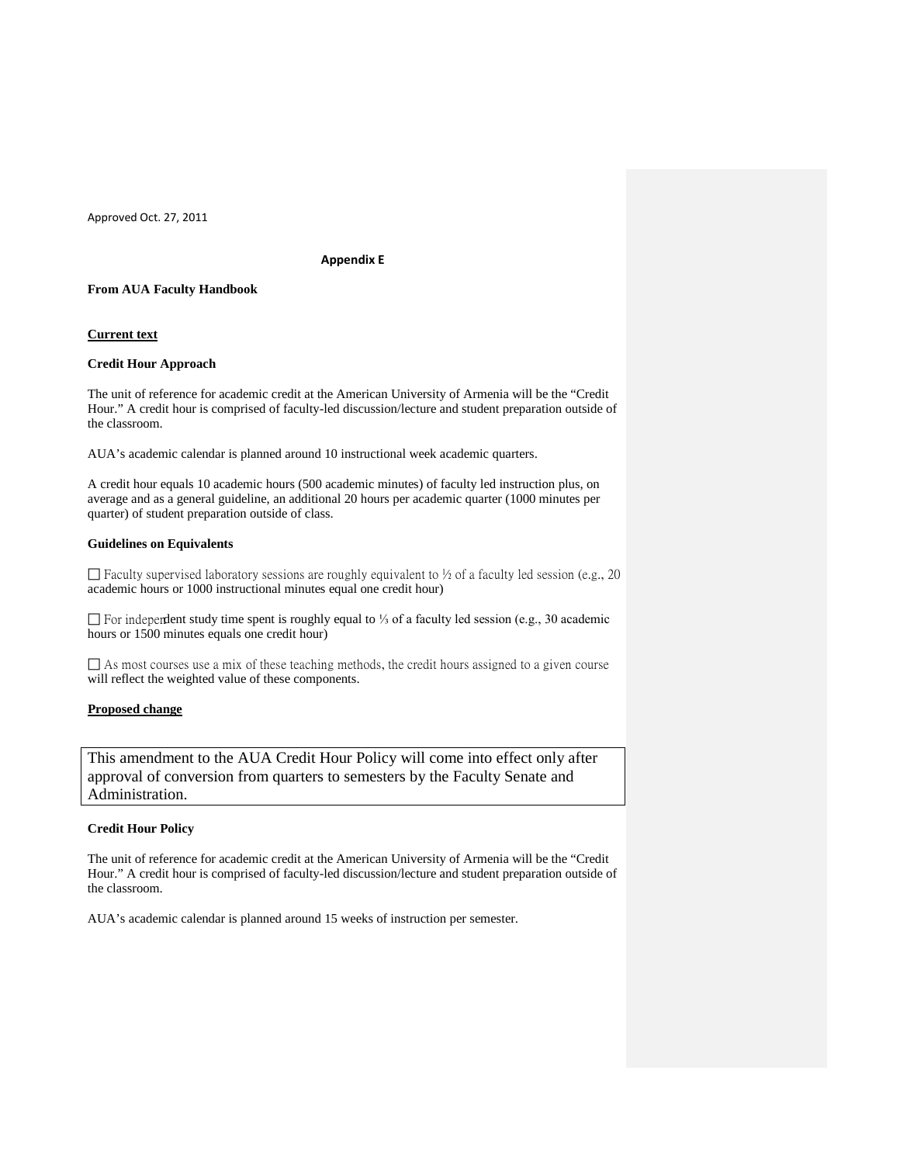### **Appendix E**

## **From AUA Faculty Handbook**

#### **Current text**

#### **Credit Hour Approach**

The unit of reference for academic credit at the American University of Armenia will be the "Credit Hour." A credit hour is comprised of faculty-led discussion/lecture and student preparation outside of the classroom.

AUA's academic calendar is planned around 10 instructional week academic quarters.

A credit hour equals 10 academic hours (500 academic minutes) of faculty led instruction plus, on average and as a general guideline, an additional 20 hours per academic quarter (1000 minutes per quarter) of student preparation outside of class.

#### **Guidelines on Equivalents**

 $\Box$  Faculty supervised laboratory sessions are roughly equivalent to  $\frac{1}{2}$  of a faculty led session (e.g., 20 academic hours or 1000 instructional minutes equal one credit hour)

 For independent study time spent is roughly equal to ⅓ of a faculty led session (e.g., 30 academic hours or 1500 minutes equals one credit hour)

 $\Box$  As most courses use a mix of these teaching methods, the credit hours assigned to a given course will reflect the weighted value of these components.

## **Proposed change**

This amendment to the AUA Credit Hour Policy will come into effect only after approval of conversion from quarters to semesters by the Faculty Senate and Administration.

### **Credit Hour Policy**

The unit of reference for academic credit at the American University of Armenia will be the "Credit Hour." A credit hour is comprised of faculty-led discussion/lecture and student preparation outside of the classroom.

AUA's academic calendar is planned around 15 weeks of instruction per semester.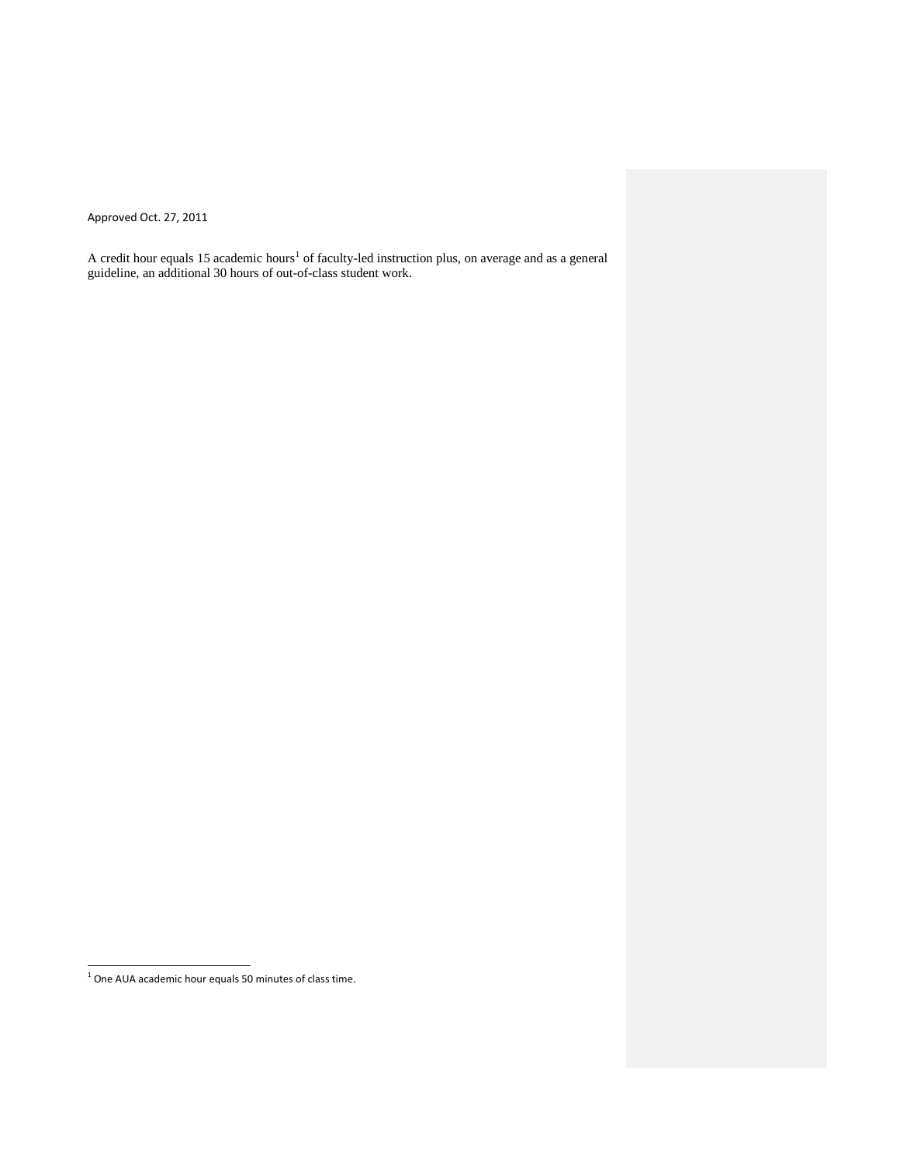A credit hour equals [1](#page-13-0)5 academic hours<sup>1</sup> of faculty-led instruction plus, on average and as a general guideline, an additional 30 hours of out-of-class student work.

<span id="page-13-0"></span> $<sup>1</sup>$  One AUA academic hour equals 50 minutes of class time.</sup>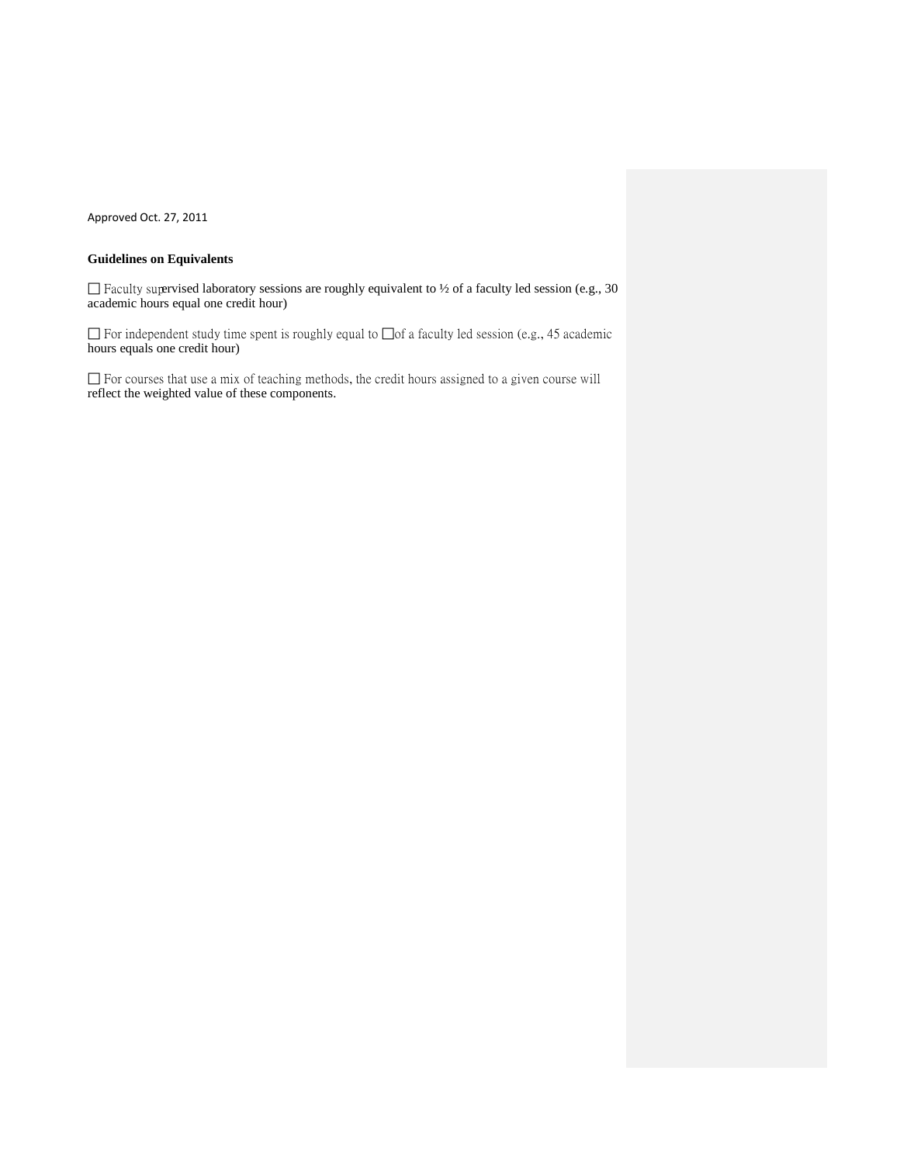# **Guidelines on Equivalents**

 $\Box$  Faculty supervised laboratory sessions are roughly equivalent to ½ of a faculty led session (e.g., 30 academic hours equal one credit hour)

 For independent study time spent is roughly equal to ⅓ of a faculty led session (e.g., 45 academic hours equals one credit hour)

 $\Box$  For courses that use a mix of teaching methods, the credit hours assigned to a given course will reflect the weighted value of these components.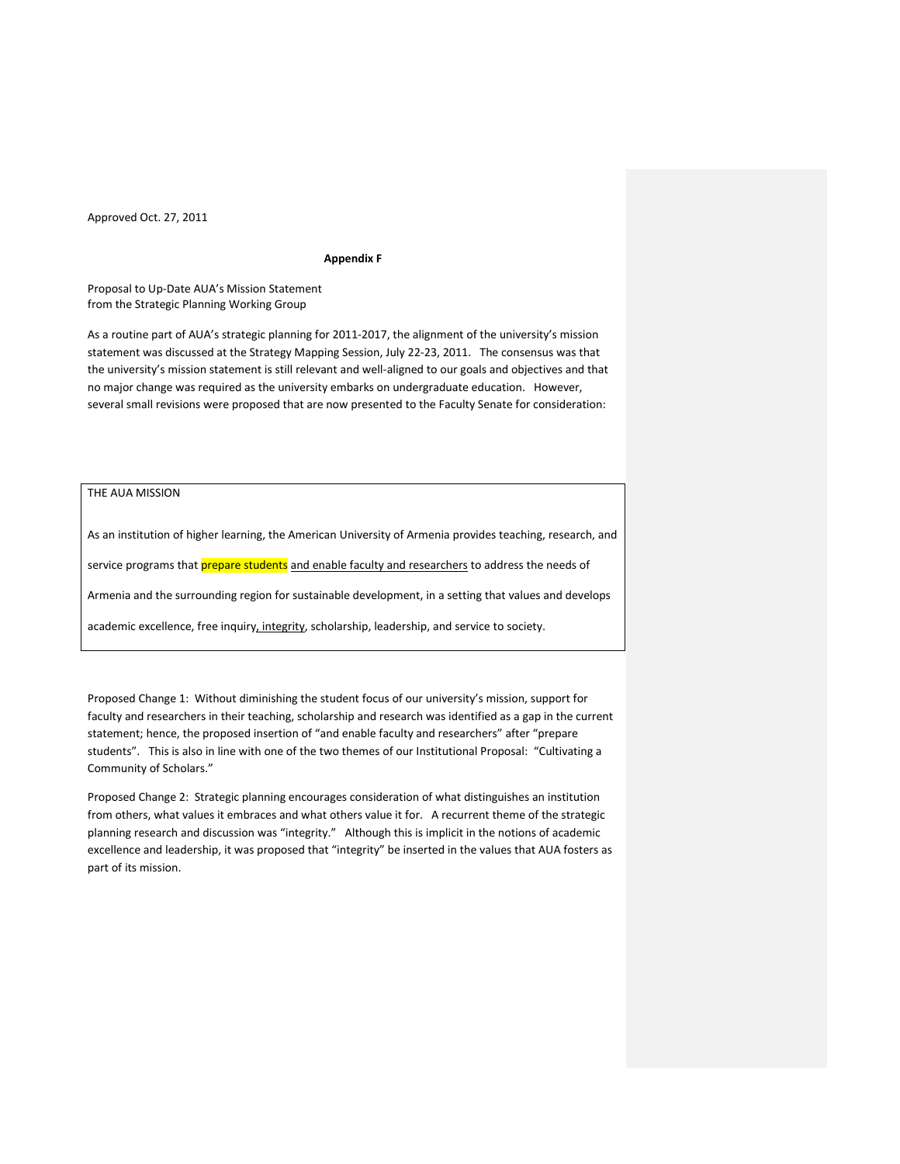#### **Appendix F**

Proposal to Up-Date AUA's Mission Statement from the Strategic Planning Working Group

As a routine part of AUA's strategic planning for 2011-2017, the alignment of the university's mission statement was discussed at the Strategy Mapping Session, July 22-23, 2011. The consensus was that the university's mission statement is still relevant and well-aligned to our goals and objectives and that no major change was required as the university embarks on undergraduate education. However, several small revisions were proposed that are now presented to the Faculty Senate for consideration:

# THE AUA MISSION

As an institution of higher learning, the American University of Armenia provides teaching, research, and service programs that prepare students and enable faculty and researchers to address the needs of Armenia and the surrounding region for sustainable development, in a setting that values and develops academic excellence, free inquiry, integrity, scholarship, leadership, and service to society.

Proposed Change 1: Without diminishing the student focus of our university's mission, support for faculty and researchers in their teaching, scholarship and research was identified as a gap in the current statement; hence, the proposed insertion of "and enable faculty and researchers" after "prepare students". This is also in line with one of the two themes of our Institutional Proposal: "Cultivating a Community of Scholars."

Proposed Change 2: Strategic planning encourages consideration of what distinguishes an institution from others, what values it embraces and what others value it for. A recurrent theme of the strategic planning research and discussion was "integrity." Although this is implicit in the notions of academic excellence and leadership, it was proposed that "integrity" be inserted in the values that AUA fosters as part of its mission.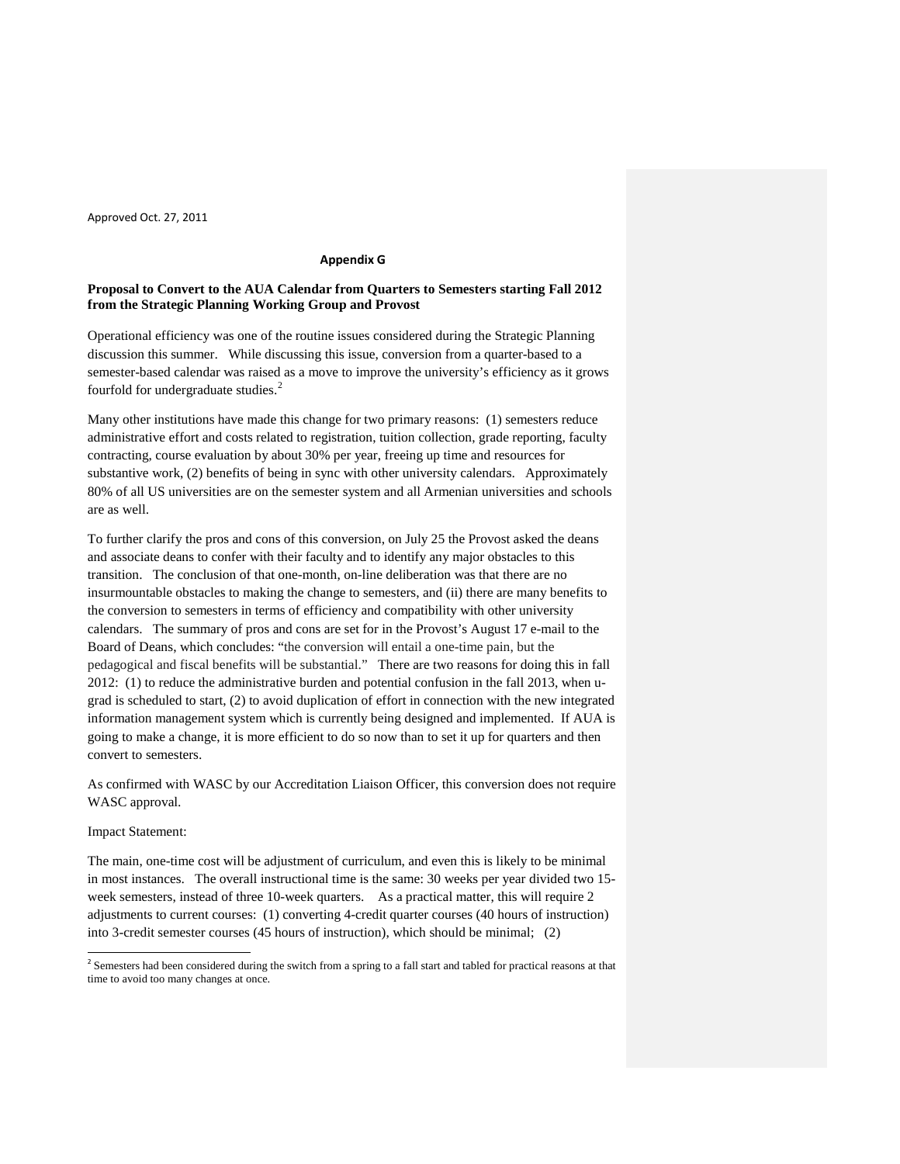# **Appendix G**

## **Proposal to Convert to the AUA Calendar from Quarters to Semesters starting Fall 2012 from the Strategic Planning Working Group and Provost**

Operational efficiency was one of the routine issues considered during the Strategic Planning discussion this summer. While discussing this issue, conversion from a quarter-based to a semester-based calendar was raised as a move to improve the university's efficiency as it grows fourfold for undergraduate studies.<sup>[2](#page-16-0)</sup>

Many other institutions have made this change for two primary reasons: (1) semesters reduce administrative effort and costs related to registration, tuition collection, grade reporting, faculty contracting, course evaluation by about 30% per year, freeing up time and resources for substantive work, (2) benefits of being in sync with other university calendars. Approximately 80% of all US universities are on the semester system and all Armenian universities and schools are as well.

To further clarify the pros and cons of this conversion, on July 25 the Provost asked the deans and associate deans to confer with their faculty and to identify any major obstacles to this transition. The conclusion of that one-month, on-line deliberation was that there are no insurmountable obstacles to making the change to semesters, and (ii) there are many benefits to the conversion to semesters in terms of efficiency and compatibility with other university calendars. The summary of pros and cons are set for in the Provost's August 17 e-mail to the Board of Deans, which concludes: "the conversion will entail a one-time pain, but the pedagogical and fiscal benefits will be substantial." There are two reasons for doing this in fall 2012: (1) to reduce the administrative burden and potential confusion in the fall 2013, when ugrad is scheduled to start, (2) to avoid duplication of effort in connection with the new integrated information management system which is currently being designed and implemented. If AUA is going to make a change, it is more efficient to do so now than to set it up for quarters and then convert to semesters.

As confirmed with WASC by our Accreditation Liaison Officer, this conversion does not require WASC approval.

### Impact Statement:

The main, one-time cost will be adjustment of curriculum, and even this is likely to be minimal in most instances. The overall instructional time is the same: 30 weeks per year divided two 15 week semesters, instead of three 10-week quarters. As a practical matter, this will require 2 adjustments to current courses: (1) converting 4-credit quarter courses (40 hours of instruction) into 3-credit semester courses (45 hours of instruction), which should be minimal; (2)

<span id="page-16-0"></span> $2$  Semesters had been considered during the switch from a spring to a fall start and tabled for practical reasons at that time to avoid too many changes at once.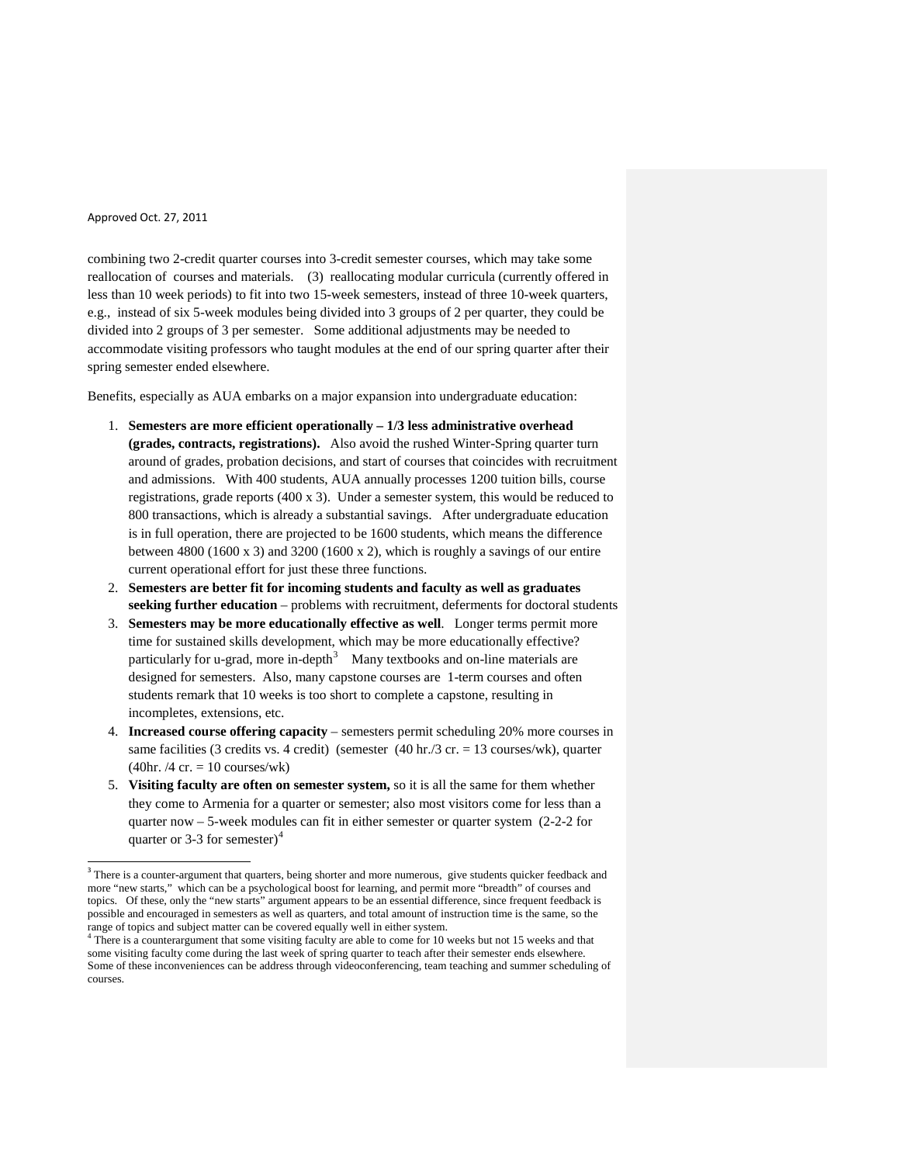combining two 2-credit quarter courses into 3-credit semester courses, which may take some reallocation of courses and materials. (3) reallocating modular curricula (currently offered in less than 10 week periods) to fit into two 15-week semesters, instead of three 10-week quarters, e.g., instead of six 5-week modules being divided into 3 groups of 2 per quarter, they could be divided into 2 groups of 3 per semester. Some additional adjustments may be needed to accommodate visiting professors who taught modules at the end of our spring quarter after their spring semester ended elsewhere.

Benefits, especially as AUA embarks on a major expansion into undergraduate education:

- 1. **Semesters are more efficient operationally – 1/3 less administrative overhead (grades, contracts, registrations).** Also avoid the rushed Winter-Spring quarter turn around of grades, probation decisions, and start of courses that coincides with recruitment and admissions. With 400 students, AUA annually processes 1200 tuition bills, course registrations, grade reports (400 x 3). Under a semester system, this would be reduced to 800 transactions, which is already a substantial savings. After undergraduate education is in full operation, there are projected to be 1600 students, which means the difference between 4800 (1600 x 3) and 3200 (1600 x 2), which is roughly a savings of our entire current operational effort for just these three functions.
- 2. **Semesters are better fit for incoming students and faculty as well as graduates seeking further education** – problems with recruitment, deferments for doctoral students
- 3. **Semesters may be more educationally effective as well**. Longer terms permit more time for sustained skills development, which may be more educationally effective? particularly for u-grad, more in-depth<sup>[3](#page-17-0)</sup> Many textbooks and on-line materials are designed for semesters. Also, many capstone courses are 1-term courses and often students remark that 10 weeks is too short to complete a capstone, resulting in incompletes, extensions, etc.
- 4. **Increased course offering capacity** semesters permit scheduling 20% more courses in same facilities (3 credits vs. 4 credit) (semester  $(40 \text{ hr.}/3 \text{ cr.} = 13 \text{ courses/wk})$ , quarter  $(40hr. / 4 cr. = 10 \text{ courses/wk})$
- 5. **Visiting faculty are often on semester system,** so it is all the same for them whether they come to Armenia for a quarter or semester; also most visitors come for less than a quarter now – 5-week modules can fit in either semester or quarter system (2-2-2 for quarter or 3-3 for semester)<sup>[4](#page-17-1)</sup>

<sup>&</sup>lt;sup>3</sup> There is a counter-argument that quarters, being shorter and more numerous, give students quicker feedback and more "new starts," which can be a psychological boost for learning, and permit more "breadth" of courses and topics. Of these, only the "new starts" argument appears to be an essential difference, since frequent feedback is possible and encouraged in semesters as well as quarters, and total amount of instruction time is the same, so the range of topics and subject matter can be covered equally well in either system.<br><sup>4</sup> There is a counterargument that some visiting faculty are able to come for 10 weeks but not 15 weeks and that

<span id="page-17-1"></span><span id="page-17-0"></span>some visiting faculty come during the last week of spring quarter to teach after their semester ends elsewhere. Some of these inconveniences can be address through videoconferencing, team teaching and summer scheduling of courses.